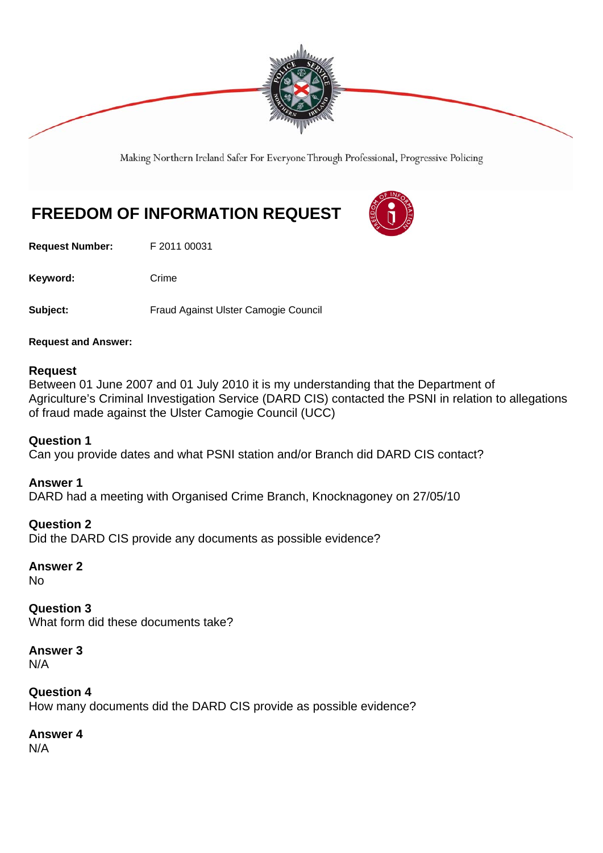

Making Northern Ireland Safer For Everyone Through Professional, Progressive Policing

# **FREEDOM OF INFORMATION REQUEST**

**Request Number:** F 2011 00031

Keyword: Crime

**Subject:** Fraud Against Ulster Camogie Council

**Request and Answer:** 

#### **Request**

Between 01 June 2007 and 01 July 2010 it is my understanding that the Department of Agriculture's Criminal Investigation Service (DARD CIS) contacted the PSNI in relation to allegations of fraud made against the Ulster Camogie Council (UCC)

#### **Question 1**

Can you provide dates and what PSNI station and/or Branch did DARD CIS contact?

#### **Answer 1**

DARD had a meeting with Organised Crime Branch, Knocknagoney on 27/05/10

#### **Question 2**

Did the DARD CIS provide any documents as possible evidence?

**Answer 2** 

No

**Question 3**  What form did these documents take?

**Answer 3**  N/A

**Question 4**  How many documents did the DARD CIS provide as possible evidence?

**Answer 4** 

N/A